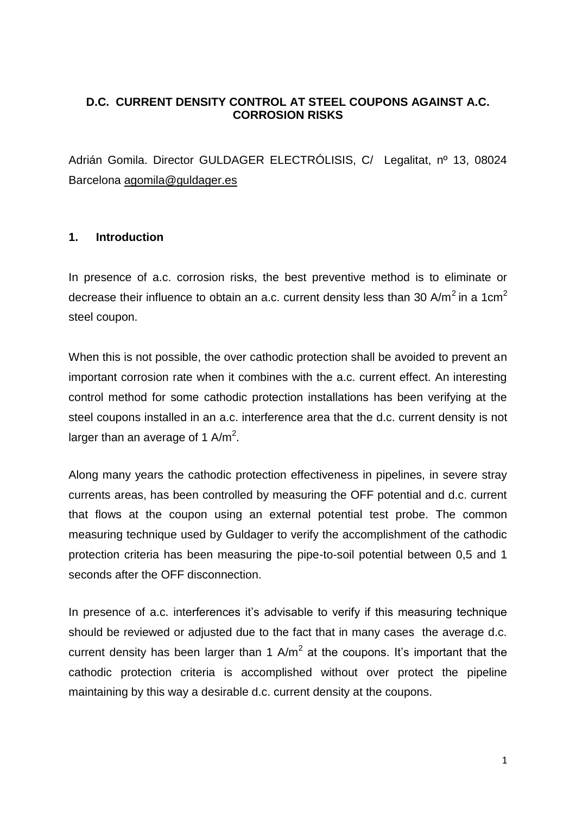# **D.C. CURRENT DENSITY CONTROL AT STEEL COUPONS AGAINST A.C. CORROSION RISKS**

Adrián Gomila. Director GULDAGER ELECTRÓLISIS, C/ Legalitat, nº 13, 08024 Barcelona [agomila@guldager.es](mailto:agomila@guldager.es)

#### **1. Introduction**

In presence of a.c. corrosion risks, the best preventive method is to eliminate or decrease their influence to obtain an a.c. current density less than 30 A/m<sup>2</sup> in a 1cm<sup>2</sup> steel coupon.

When this is not possible, the over cathodic protection shall be avoided to prevent an important corrosion rate when it combines with the a.c. current effect. An interesting control method for some cathodic protection installations has been verifying at the steel coupons installed in an a.c. interference area that the d.c. current density is not larger than an average of 1 A/m<sup>2</sup>.

Along many years the cathodic protection effectiveness in pipelines, in severe stray currents areas, has been controlled by measuring the OFF potential and d.c. current that flows at the coupon using an external potential test probe. The common measuring technique used by Guldager to verify the accomplishment of the cathodic protection criteria has been measuring the pipe-to-soil potential between 0,5 and 1 seconds after the OFF disconnection.

In presence of a.c. interferences it's advisable to verify if this measuring technique should be reviewed or adjusted due to the fact that in many cases the average d.c. current density has been larger than 1  $A/m^2$  at the coupons. It's important that the cathodic protection criteria is accomplished without over protect the pipeline maintaining by this way a desirable d.c. current density at the coupons.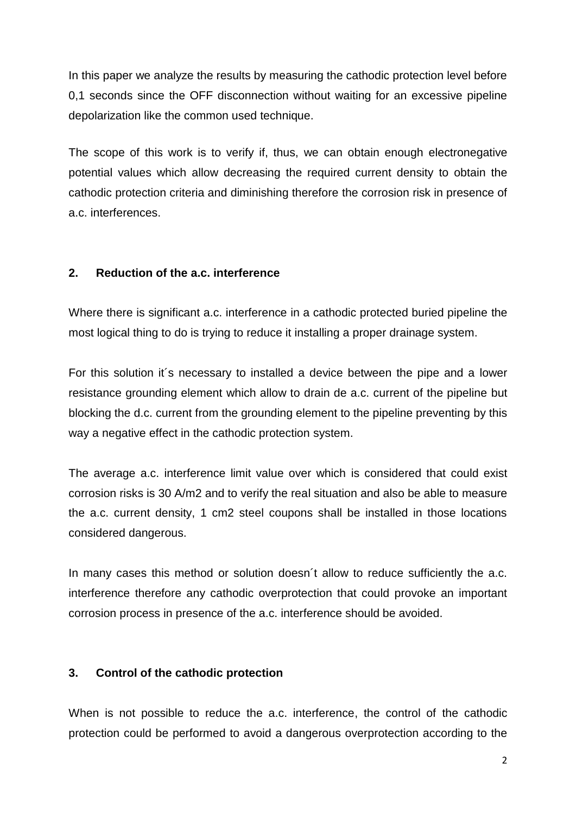In this paper we analyze the results by measuring the cathodic protection level before 0,1 seconds since the OFF disconnection without waiting for an excessive pipeline depolarization like the common used technique.

The scope of this work is to verify if, thus, we can obtain enough electronegative potential values which allow decreasing the required current density to obtain the cathodic protection criteria and diminishing therefore the corrosion risk in presence of a.c. interferences.

# **2. Reduction of the a.c. interference**

Where there is significant a.c. interference in a cathodic protected buried pipeline the most logical thing to do is trying to reduce it installing a proper drainage system.

For this solution it´s necessary to installed a device between the pipe and a lower resistance grounding element which allow to drain de a.c. current of the pipeline but blocking the d.c. current from the grounding element to the pipeline preventing by this way a negative effect in the cathodic protection system.

The average a.c. interference limit value over which is considered that could exist corrosion risks is 30 A/m2 and to verify the real situation and also be able to measure the a.c. current density, 1 cm2 steel coupons shall be installed in those locations considered dangerous.

In many cases this method or solution doesn't allow to reduce sufficiently the a.c. interference therefore any cathodic overprotection that could provoke an important corrosion process in presence of the a.c. interference should be avoided.

# **3. Control of the cathodic protection**

When is not possible to reduce the a.c. interference, the control of the cathodic protection could be performed to avoid a dangerous overprotection according to the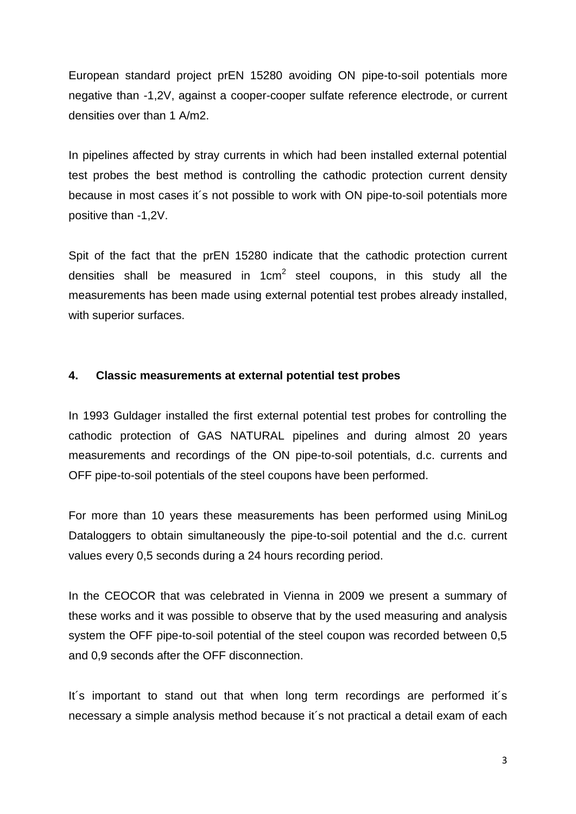European standard project prEN 15280 avoiding ON pipe-to-soil potentials more negative than -1,2V, against a cooper-cooper sulfate reference electrode, or current densities over than 1 A/m2.

In pipelines affected by stray currents in which had been installed external potential test probes the best method is controlling the cathodic protection current density because in most cases it´s not possible to work with ON pipe-to-soil potentials more positive than -1,2V.

Spit of the fact that the prEN 15280 indicate that the cathodic protection current densities shall be measured in 1 $cm^2$  steel coupons, in this study all the measurements has been made using external potential test probes already installed, with superior surfaces.

# **4. Classic measurements at external potential test probes**

In 1993 Guldager installed the first external potential test probes for controlling the cathodic protection of GAS NATURAL pipelines and during almost 20 years measurements and recordings of the ON pipe-to-soil potentials, d.c. currents and OFF pipe-to-soil potentials of the steel coupons have been performed.

For more than 10 years these measurements has been performed using MiniLog Dataloggers to obtain simultaneously the pipe-to-soil potential and the d.c. current values every 0,5 seconds during a 24 hours recording period.

In the CEOCOR that was celebrated in Vienna in 2009 we present a summary of these works and it was possible to observe that by the used measuring and analysis system the OFF pipe-to-soil potential of the steel coupon was recorded between 0,5 and 0,9 seconds after the OFF disconnection.

It´s important to stand out that when long term recordings are performed it´s necessary a simple analysis method because it´s not practical a detail exam of each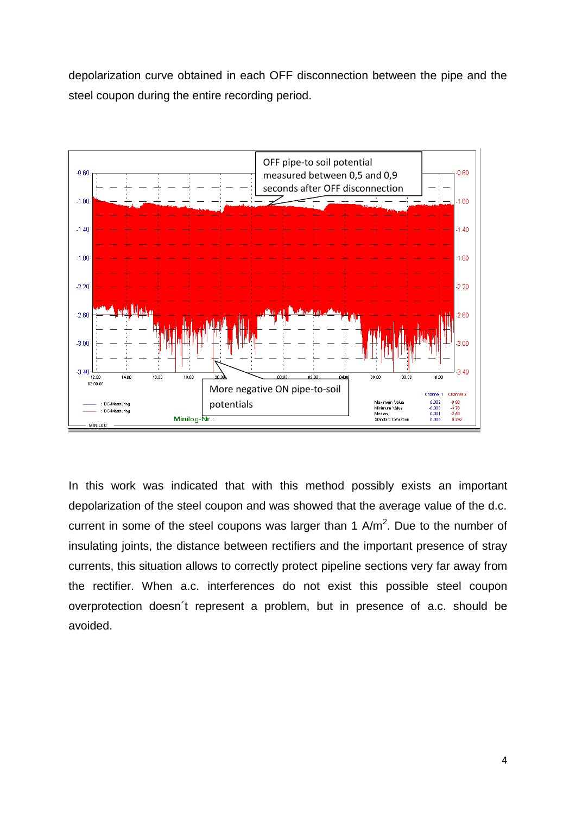depolarization curve obtained in each OFF disconnection between the pipe and the steel coupon during the entire recording period.



In this work was indicated that with this method possibly exists an important depolarization of the steel coupon and was showed that the average value of the d.c. current in some of the steel coupons was larger than 1  $A/m^2$ . Due to the number of insulating joints, the distance between rectifiers and the important presence of stray currents, this situation allows to correctly protect pipeline sections very far away from the rectifier. When a.c. interferences do not exist this possible steel coupon overprotection doesn´t represent a problem, but in presence of a.c. should be avoided.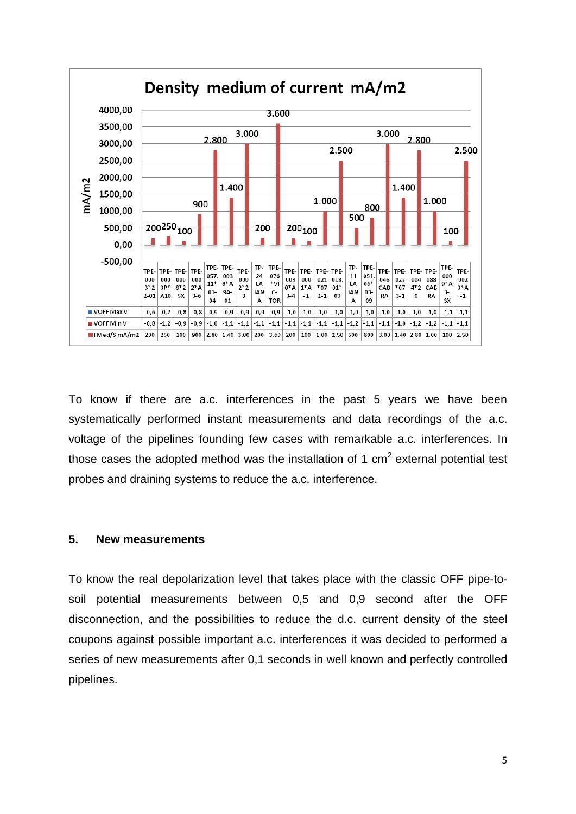

To know if there are a.c. interferences in the past 5 years we have been systematically performed instant measurements and data recordings of the a.c. voltage of the pipelines founding few cases with remarkable a.c. interferences. In those cases the adopted method was the installation of 1 cm<sup>2</sup> external potential test probes and draining systems to reduce the a.c. interference.

#### **5. New measurements**

To know the real depolarization level that takes place with the classic OFF pipe-tosoil potential measurements between 0,5 and 0,9 second after the OFF disconnection, and the possibilities to reduce the d.c. current density of the steel coupons against possible important a.c. interferences it was decided to performed a series of new measurements after 0,1 seconds in well known and perfectly controlled pipelines.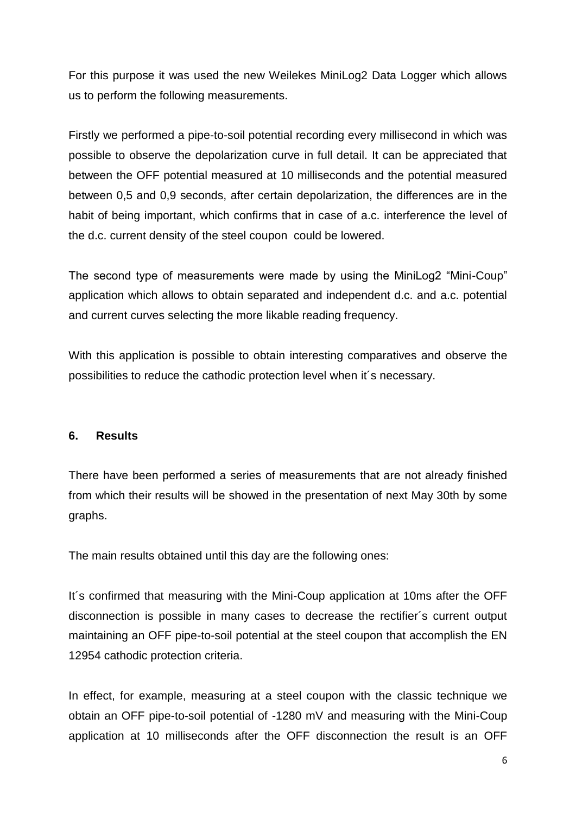For this purpose it was used the new Weilekes MiniLog2 Data Logger which allows us to perform the following measurements.

Firstly we performed a pipe-to-soil potential recording every millisecond in which was possible to observe the depolarization curve in full detail. It can be appreciated that between the OFF potential measured at 10 milliseconds and the potential measured between 0,5 and 0,9 seconds, after certain depolarization, the differences are in the habit of being important, which confirms that in case of a.c. interference the level of the d.c. current density of the steel coupon could be lowered.

The second type of measurements were made by using the MiniLog2 "Mini-Coup" application which allows to obtain separated and independent d.c. and a.c. potential and current curves selecting the more likable reading frequency.

With this application is possible to obtain interesting comparatives and observe the possibilities to reduce the cathodic protection level when it´s necessary.

#### **6. Results**

There have been performed a series of measurements that are not already finished from which their results will be showed in the presentation of next May 30th by some graphs.

The main results obtained until this day are the following ones:

It´s confirmed that measuring with the Mini-Coup application at 10ms after the OFF disconnection is possible in many cases to decrease the rectifier´s current output maintaining an OFF pipe-to-soil potential at the steel coupon that accomplish the EN 12954 cathodic protection criteria.

In effect, for example, measuring at a steel coupon with the classic technique we obtain an OFF pipe-to-soil potential of -1280 mV and measuring with the Mini-Coup application at 10 milliseconds after the OFF disconnection the result is an OFF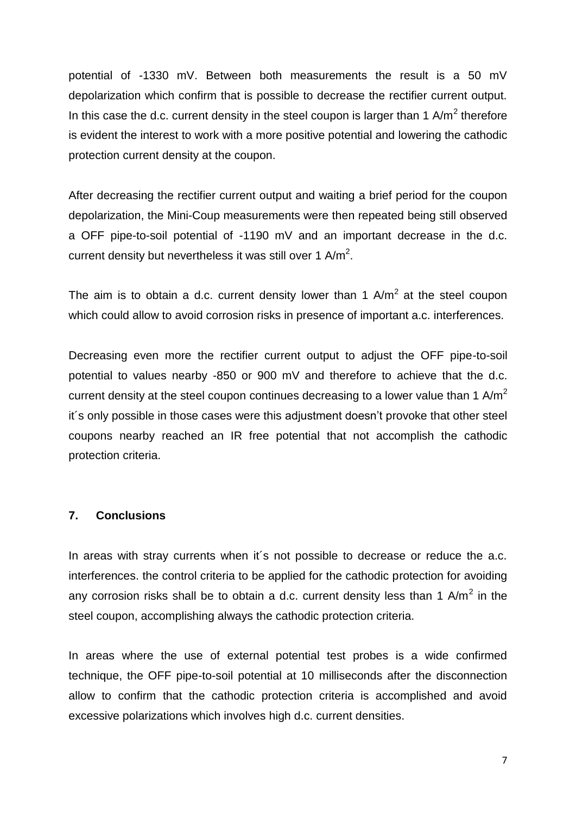potential of -1330 mV. Between both measurements the result is a 50 mV depolarization which confirm that is possible to decrease the rectifier current output. In this case the d.c. current density in the steel coupon is larger than 1 A/m<sup>2</sup> therefore is evident the interest to work with a more positive potential and lowering the cathodic protection current density at the coupon.

After decreasing the rectifier current output and waiting a brief period for the coupon depolarization, the Mini-Coup measurements were then repeated being still observed a OFF pipe-to-soil potential of -1190 mV and an important decrease in the d.c. current density but nevertheless it was still over 1 A/m<sup>2</sup>.

The aim is to obtain a d.c. current density lower than 1  $A/m^2$  at the steel coupon which could allow to avoid corrosion risks in presence of important a.c. interferences.

Decreasing even more the rectifier current output to adjust the OFF pipe-to-soil potential to values nearby -850 or 900 mV and therefore to achieve that the d.c. current density at the steel coupon continues decreasing to a lower value than 1  $A/m^2$ it´s only possible in those cases were this adjustment doesn't provoke that other steel coupons nearby reached an IR free potential that not accomplish the cathodic protection criteria.

#### **7. Conclusions**

In areas with stray currents when it's not possible to decrease or reduce the a.c. interferences. the control criteria to be applied for the cathodic protection for avoiding any corrosion risks shall be to obtain a d.c. current density less than 1 A/m<sup>2</sup> in the steel coupon, accomplishing always the cathodic protection criteria.

In areas where the use of external potential test probes is a wide confirmed technique, the OFF pipe-to-soil potential at 10 milliseconds after the disconnection allow to confirm that the cathodic protection criteria is accomplished and avoid excessive polarizations which involves high d.c. current densities.